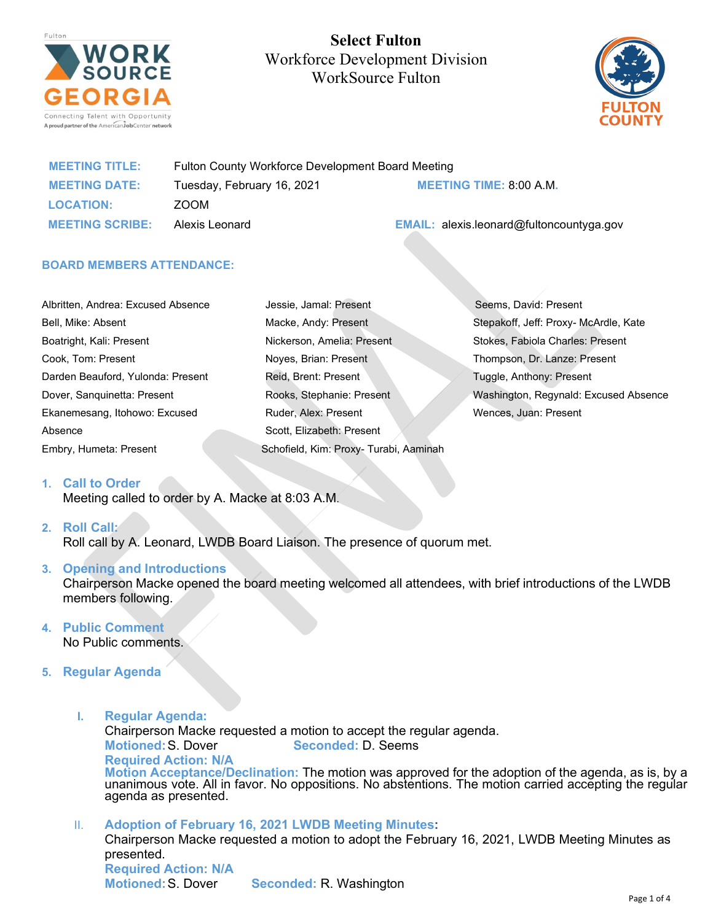

**Select Fulton**  Workforce Development Division WorkSource Fulton



| <b>MEETING TITLE:</b>  | Fulton County Workforce Development Board Meeting |                                                 |
|------------------------|---------------------------------------------------|-------------------------------------------------|
| <b>MEETING DATE:</b>   | Tuesday, February 16, 2021                        | <b>MEETING TIME: 8:00 A.M.</b>                  |
| <b>LOCATION:</b>       | ZOOM                                              |                                                 |
| <b>MEETING SCRIBE:</b> | Alexis Leonard                                    | <b>EMAIL:</b> alexis.leonard@fultoncountyga.gov |

Jessie, Jamal: Present

### **BOARD MEMBERS ATTENDANCE:**

| Albritten, Andrea: Excused Absence |
|------------------------------------|
| Bell, Mike: Absent                 |
| Boatright, Kali: Present           |
| Cook, Tom: Present                 |
| Darden Beauford, Yulonda: Present  |
| Dover, Sanguinetta: Present        |
| Ekanemesang, Itohowo: Excused      |
| Absence                            |
| Embry, Humeta: Present             |

| Macke, Andy: Present                   |
|----------------------------------------|
| Nickerson, Amelia: Present             |
| Noves, Brian: Present                  |
| Reid, Brent: Present                   |
| Rooks, Stephanie: Present              |
| Ruder, Alex: Present                   |
| Scott, Elizabeth: Present              |
| Schofield, Kim: Proxy- Turabi, Aaminah |

 Seems, David: Present Stepakoff, Jeff: Proxy- McArdle, Kate Stokes, Fabiola Charles: Present Thompson, Dr. Lanze: Present Tuggle, Anthony: Present Washington, Regynald: Excused Absence Wences, Juan: Present

# **1. Call to Order**

Meeting called to order by A. Macke at 8:03 A.M.

### **2. Roll Call:**

Roll call by A. Leonard, LWDB Board Liaison. The presence of quorum met.

### **3. Opening and Introductions**

Chairperson Macke opened the board meeting welcomed all attendees, with brief introductions of the LWDB members following.

### **4. Public Comment**

No Public comments.

# **5. Regular Agenda**

**I. Regular Agenda:**

Chairperson Macke requested a motion to accept the regular agenda. **Motioned:**S. Dover **Seconded:** D. Seems **Required Action: N/A**

**Motion Acceptance/Declination:** The motion was approved for the adoption of the agenda, as is, by a unanimous vote. All in favor. No oppositions. No abstentions. The motion carried accepting the regular<br>agenda as presented.

II. **Adoption of February 16, 2021 LWDB Meeting Minutes:** Chairperson Macke requested a motion to adopt the February 16, 2021, LWDB Meeting Minutes as presented. **Required Action: N/A Seconded: R. Washington**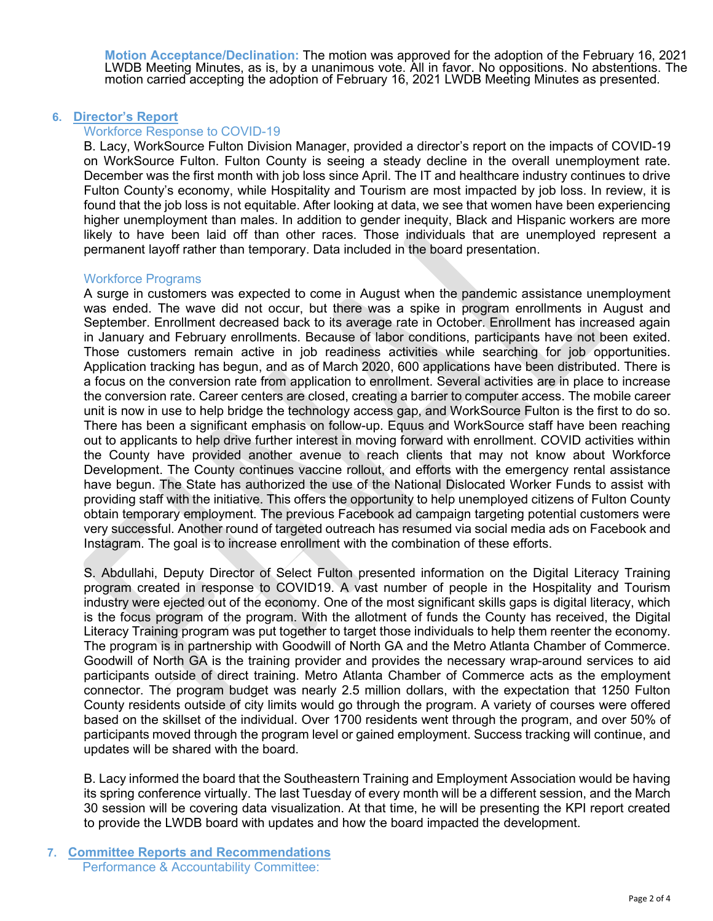**Motion Acceptance/Declination:** The motion was approved for the adoption of the February 16, 2021<br>LWDB Meeting Minutes, as is, by a unanimous vote. All in favor. No oppositions. No abstentions. The motion carried accepting the adoption of February 16, 2021 LWDB Meeting Minutes as presented.

## **6. Director's Report**

## Workforce Response to COVID-19

B. Lacy, WorkSource Fulton Division Manager, provided a director's report on the impacts of COVID-19 on WorkSource Fulton. Fulton County is seeing a steady decline in the overall unemployment rate. December was the first month with job loss since April. The IT and healthcare industry continues to drive Fulton County's economy, while Hospitality and Tourism are most impacted by job loss. In review, it is found that the job loss is not equitable. After looking at data, we see that women have been experiencing higher unemployment than males. In addition to gender inequity, Black and Hispanic workers are more likely to have been laid off than other races. Those individuals that are unemployed represent a permanent layoff rather than temporary. Data included in the board presentation.

# Workforce Programs

A surge in customers was expected to come in August when the pandemic assistance unemployment was ended. The wave did not occur, but there was a spike in program enrollments in August and September. Enrollment decreased back to its average rate in October. Enrollment has increased again in January and February enrollments. Because of labor conditions, participants have not been exited. Those customers remain active in job readiness activities while searching for job opportunities. Application tracking has begun, and as of March 2020, 600 applications have been distributed. There is a focus on the conversion rate from application to enrollment. Several activities are in place to increase the conversion rate. Career centers are closed, creating a barrier to computer access. The mobile career unit is now in use to help bridge the technology access gap, and WorkSource Fulton is the first to do so. There has been a significant emphasis on follow-up. Equus and WorkSource staff have been reaching out to applicants to help drive further interest in moving forward with enrollment. COVID activities within the County have provided another avenue to reach clients that may not know about Workforce Development. The County continues vaccine rollout, and efforts with the emergency rental assistance have begun. The State has authorized the use of the National Dislocated Worker Funds to assist with providing staff with the initiative. This offers the opportunity to help unemployed citizens of Fulton County obtain temporary employment. The previous Facebook ad campaign targeting potential customers were very successful. Another round of targeted outreach has resumed via social media ads on Facebook and Instagram. The goal is to increase enrollment with the combination of these efforts.

S. Abdullahi, Deputy Director of Select Fulton presented information on the Digital Literacy Training program created in response to COVID19. A vast number of people in the Hospitality and Tourism industry were ejected out of the economy. One of the most significant skills gaps is digital literacy, which is the focus program of the program. With the allotment of funds the County has received, the Digital Literacy Training program was put together to target those individuals to help them reenter the economy. The program is in partnership with Goodwill of North GA and the Metro Atlanta Chamber of Commerce. Goodwill of North GA is the training provider and provides the necessary wrap-around services to aid participants outside of direct training. Metro Atlanta Chamber of Commerce acts as the employment connector. The program budget was nearly 2.5 million dollars, with the expectation that 1250 Fulton County residents outside of city limits would go through the program. A variety of courses were offered based on the skillset of the individual. Over 1700 residents went through the program, and over 50% of participants moved through the program level or gained employment. Success tracking will continue, and updates will be shared with the board.

B. Lacy informed the board that the Southeastern Training and Employment Association would be having its spring conference virtually. The last Tuesday of every month will be a different session, and the March 30 session will be covering data visualization. At that time, he will be presenting the KPI report created to provide the LWDB board with updates and how the board impacted the development.

**7. Committee Reports and Recommendations** Performance & Accountability Committee: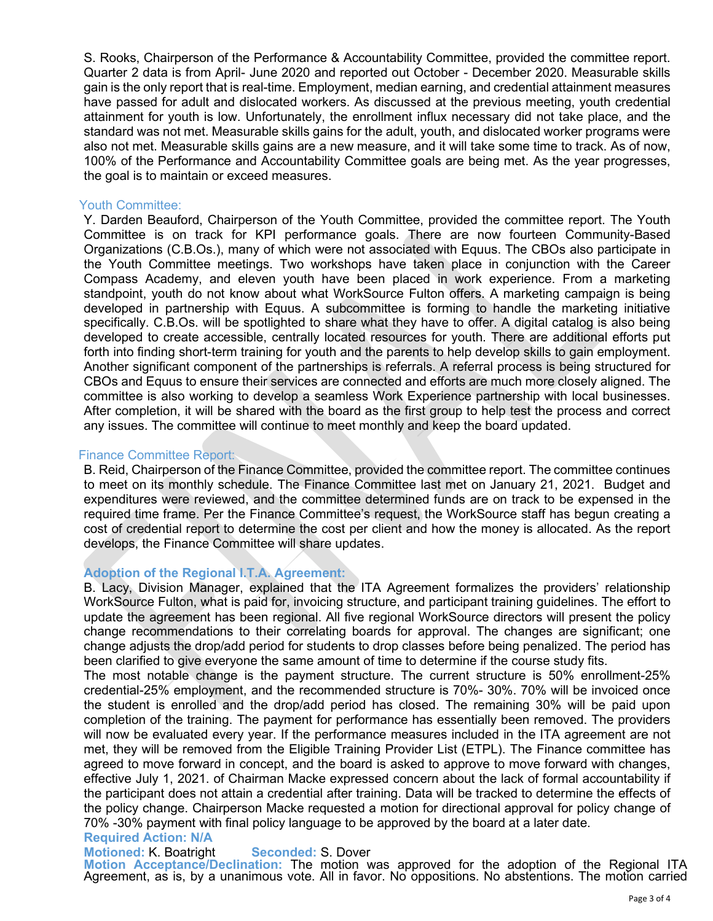S. Rooks, Chairperson of the Performance & Accountability Committee, provided the committee report. Quarter 2 data is from April- June 2020 and reported out October - December 2020. Measurable skills gain is the only report that is real-time. Employment, median earning, and credential attainment measures have passed for adult and dislocated workers. As discussed at the previous meeting, youth credential attainment for youth is low. Unfortunately, the enrollment influx necessary did not take place, and the standard was not met. Measurable skills gains for the adult, youth, and dislocated worker programs were also not met. Measurable skills gains are a new measure, and it will take some time to track. As of now, 100% of the Performance and Accountability Committee goals are being met. As the year progresses, the goal is to maintain or exceed measures.

#### Youth Committee:

Y. Darden Beauford, Chairperson of the Youth Committee, provided the committee report. The Youth Committee is on track for KPI performance goals. There are now fourteen Community-Based Organizations (C.B.Os.), many of which were not associated with Equus. The CBOs also participate in the Youth Committee meetings. Two workshops have taken place in conjunction with the Career Compass Academy, and eleven youth have been placed in work experience. From a marketing standpoint, youth do not know about what WorkSource Fulton offers. A marketing campaign is being developed in partnership with Equus. A subcommittee is forming to handle the marketing initiative specifically. C.B.Os. will be spotlighted to share what they have to offer. A digital catalog is also being developed to create accessible, centrally located resources for youth. There are additional efforts put forth into finding short-term training for youth and the parents to help develop skills to gain employment. Another significant component of the partnerships is referrals. A referral process is being structured for CBOs and Equus to ensure their services are connected and efforts are much more closely aligned. The committee is also working to develop a seamless Work Experience partnership with local businesses. After completion, it will be shared with the board as the first group to help test the process and correct any issues. The committee will continue to meet monthly and keep the board updated.

### Finance Committee Report:

B. Reid, Chairperson of the Finance Committee, provided the committee report. The committee continues to meet on its monthly schedule. The Finance Committee last met on January 21, 2021. Budget and expenditures were reviewed, and the committee determined funds are on track to be expensed in the required time frame. Per the Finance Committee's request, the WorkSource staff has begun creating a cost of credential report to determine the cost per client and how the money is allocated. As the report develops, the Finance Committee will share updates.

### **Adoption of the Regional I.T.A. Agreement:**

B. Lacy, Division Manager, explained that the ITA Agreement formalizes the providers' relationship WorkSource Fulton, what is paid for, invoicing structure, and participant training guidelines. The effort to update the agreement has been regional. All five regional WorkSource directors will present the policy change recommendations to their correlating boards for approval. The changes are significant; one change adjusts the drop/add period for students to drop classes before being penalized. The period has been clarified to give everyone the same amount of time to determine if the course study fits.

The most notable change is the payment structure. The current structure is 50% enrollment-25% credential-25% employment, and the recommended structure is 70%- 30%. 70% will be invoiced once the student is enrolled and the drop/add period has closed. The remaining 30% will be paid upon completion of the training. The payment for performance has essentially been removed. The providers will now be evaluated every year. If the performance measures included in the ITA agreement are not met, they will be removed from the Eligible Training Provider List (ETPL). The Finance committee has agreed to move forward in concept, and the board is asked to approve to move forward with changes, effective July 1, 2021. of Chairman Macke expressed concern about the lack of formal accountability if the participant does not attain a credential after training. Data will be tracked to determine the effects of the policy change. Chairperson Macke requested a motion for directional approval for policy change of 70% -30% payment with final policy language to be approved by the board at a later date.

# **Required Action: N/A**

**Motioned: K. Boatright Seconded: S. Dover**<br> **Motion Acceptance/Declination:** The motion was approved for the adoption of the Regional ITA Agreement, as is, by a unanimous vote. All in favor. No oppositions. No abstentions. The motion carried